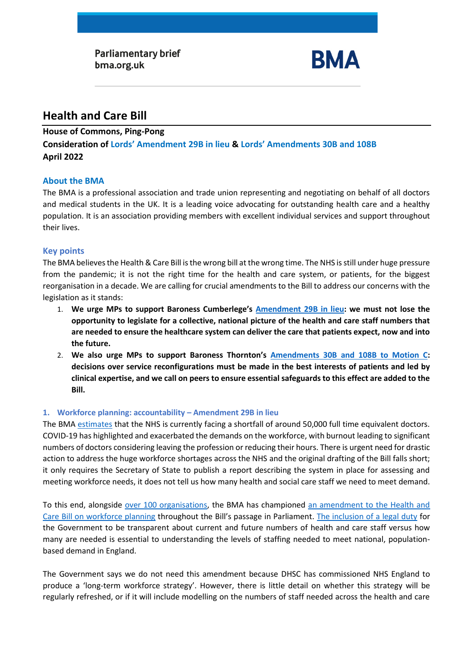

# **Health and Care Bill**

#### **House of Commons, Ping-Pong**

**Consideration of Lords' Amendment 29B in lieu & Lords' Amendments 30B and 108B April 2022**

### **About the BMA**

The BMA is a professional association and trade union representing and negotiating on behalf of all doctors and medical students in the UK. It is a leading voice advocating for outstanding health care and a healthy population. It is an association providing members with excellent individual services and support throughout their lives.

### **Key points**

The BMA believes the Health & Care Bill is the wrong bill at the wrong time. The NHS is still under huge pressure from the pandemic; it is not the right time for the health and care system, or patients, for the biggest reorganisation in a decade. We are calling for crucial amendments to the Bill to address our concerns with the legislation as it stands:

- 1. **We urge MPs to support Baroness Cumberlege's [Amendment 29B in lieu:](https://publications.parliament.uk/pa/bills/cbill/58-02/0301/210301v2.pdf) we must not lose the opportunity to legislate for a collective, national picture of the health and care staff numbers that are needed to ensure the healthcare system can deliver the care that patients expect, now and into the future.**
- 2. **We also urge MPs to support Baroness Thornton's [Amendments 30B and 108B to Motion C:](https://publications.parliament.uk/pa/bills/cbill/58-02/0301/210301v2.pdf) decisions over service reconfigurations must be made in the best interests of patients and led by clinical expertise, and we call on peers to ensure essential safeguards to this effect are added to the Bill.**

## **1. Workforce planning: accountability – Amendment 29B in lieu**

The BMA [estimates](https://www.bma.org.uk/advice-and-support/nhs-delivery-and-workforce/workforce/medical-staffing-in-england-report) that the NHS is currently facing a shortfall of around 50,000 full time equivalent doctors. COVID-19 has highlighted and exacerbated the demands on the workforce, with burnout leading to significant numbers of doctors considering leaving the profession or reducing their hours. There is urgent need for drastic action to address the huge workforce shortages across the NHS and the original drafting of the Bill falls short; it only requires the Secretary of State to publish a report describing the system in place for assessing and meeting workforce needs, it does not tell us how many health and social care staff we need to meet demand.

To this end, alongside [over 100 organisations,](https://www.rcplondon.ac.uk/news/over-100-health-organisations-sign-open-letter-prime-minister-urging-him-strengthen-workforce) the BMA has championed [an amendment to the Health and](https://publications.parliament.uk/pa/bills/cbill/58-02/0301/210301v2.pdf)  [Care Bill on workforce planning](https://publications.parliament.uk/pa/bills/cbill/58-02/0301/210301v2.pdf) throughout the Bill's passage in Parliament. [The inclusion of a legal duty](https://www.bma.org.uk/media/5492/strength-in-numbers-briefing-on-lords-consideration-of-commons-amends_050422.pdf) for the Government to be transparent about current and future numbers of health and care staff versus how many are needed is essential to understanding the levels of staffing needed to meet national, populationbased demand in England.

The Government says we do not need this amendment because DHSC has commissioned NHS England to produce a 'long-term workforce strategy'. However, there is little detail on whether this strategy will be regularly refreshed, or if it will include modelling on the numbers of staff needed across the health and care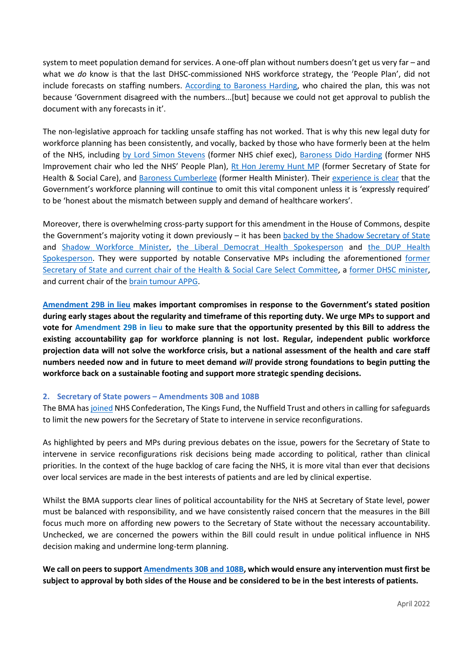system to meet population demand for services. A one-off plan without numbers doesn't get us very far – and what we *do* know is that the last DHSC-commissioned NHS workforce strategy, the 'People Plan', did not include forecasts on staffing numbers. [According to Baroness Harding,](https://hansard.parliament.uk/lords/2021-12-07/debates/B05FC5DC-E095-444F-83E3-BD40BF226078/HealthAndCareBill#contribution-DE82CD07-8E79-4EFC-8C5F-D7DEAA6B7325) who chaired the plan, this was not because 'Government disagreed with the numbers...[but] because we could not get approval to publish the document with any forecasts in it'.

The non-legislative approach for tackling unsafe staffing has not worked. That is why this new legal duty for workforce planning has been consistently, and vocally, backed by those who have formerly been at the helm of the NHS, including [by Lord Simon Stevens](https://hansard.parliament.uk/lords/2022-03-03/debates/E2FD0BB1-EE6A-4C9F-A8BD-99FFB987323F/HealthAndCareBill#contribution-2A5DEFCD-AE45-411C-B4B8-36E89195CECD) (former NHS chief exec), [Baroness Dido Harding](https://hansard.parliament.uk/lords/2022-03-03/debates/E2FD0BB1-EE6A-4C9F-A8BD-99FFB987323F/HealthAndCareBill#contribution-8664281F-9338-48B4-BE60-A2AC87932585) (former NHS Improvement chair who led the NHS' People Plan), [Rt Hon Jeremy Hunt MP](https://hansard.parliament.uk/commons/2022-03-30/debates/159B83EA-68DF-4A72-AFB7-189970DE9114/HealthAndCareBill#contribution-A51BAB93-F631-4A2C-8FDF-D94BEAD3E4EC) (former Secretary of State for Health & Social Care), and [Baroness Cumberlege](https://hansard.parliament.uk/lords/2022-03-03/debates/E2FD0BB1-EE6A-4C9F-A8BD-99FFB987323F/HealthAndCareBill#contribution-E1A92023-F8DD-44FA-80AE-E5B5965A21F5) (former Health Minister). Their [experience is clear](https://hansard.parliament.uk/lords/2021-12-07/debates/B05FC5DC-E095-444F-83E3-BD40BF226078/HealthAndCareBill#contribution-DE82CD07-8E79-4EFC-8C5F-D7DEAA6B7325) that the Government's workforce planning will continue to omit this vital component unless it is 'expressly required' to be 'honest about the mismatch between supply and demand of healthcare workers'.

Moreover, there is overwhelming cross-party support for this amendment in the House of Commons, despite the Government's majority voting it down previously – it has been [backed by the Shadow Secretary of State](https://hansard.parliament.uk/commons/2022-03-30/debates/159B83EA-68DF-4A72-AFB7-189970DE9114/HealthAndCareBill#contribution-BEB6C3A3-435D-4BB2-8CC2-4F88AD911223) and [Shadow Workforce Minister,](https://hansard.parliament.uk/commons/2022-03-30/debates/159B83EA-68DF-4A72-AFB7-189970DE9114/HealthAndCareBill#contribution-CE20BEFD-3D7A-42AB-BB21-13BCEBC82B76) [the Liberal Democrat](https://hansard.parliament.uk/commons/2022-03-30/debates/159B83EA-68DF-4A72-AFB7-189970DE9114/HealthAndCareBill#contribution-4C95D5ED-8C14-4694-8F35-FB79C332CDCB) Health Spokesperson and [the DUP Health](https://hansard.parliament.uk/commons/2022-03-30/debates/159B83EA-68DF-4A72-AFB7-189970DE9114/HealthAndCareBill#contribution-4D1F4F92-CCAC-474F-8C87-FD37B9D2006C)  [Spokesperson.](https://hansard.parliament.uk/commons/2022-03-30/debates/159B83EA-68DF-4A72-AFB7-189970DE9114/HealthAndCareBill#contribution-4D1F4F92-CCAC-474F-8C87-FD37B9D2006C) They were supported by notable Conservative MPs including the aforementioned former [Secretary of State and current chair of the Health & Social Care Select Committee,](https://hansard.parliament.uk/commons/2022-03-30/debates/159B83EA-68DF-4A72-AFB7-189970DE9114/HealthAndCareBill#contribution-A51BAB93-F631-4A2C-8FDF-D94BEAD3E4EC) a [former DHSC minister,](https://hansard.parliament.uk/commons/2022-03-30/debates/159B83EA-68DF-4A72-AFB7-189970DE9114/HealthAndCareBill#contribution-7596BDAA-C322-4FF2-B02A-846C14370340) and current chair of the [brain tumour APPG.](https://hansard.parliament.uk/commons/2022-03-30/debates/159B83EA-68DF-4A72-AFB7-189970DE9114/HealthAndCareBill#contribution-174F95A8-DF4F-4179-BA4D-A8C42C41DC08)

**[Amendment 29B in lieu](https://publications.parliament.uk/pa/bills/cbill/58-02/0301/210301v2.pdf) makes important compromises in response to the Government's stated position during early stages about the regularity and timeframe of this reporting duty. We urge MPs to support and vote for Amendment 29B in lieu to make sure that the opportunity presented by this Bill to address the existing accountability gap for workforce planning is not lost. Regular, independent public workforce projection data will not solve the workforce crisis, but a national assessment of the health and care staff numbers needed now and in future to meet demand** *will* **provide strong foundations to begin putting the workforce back on a sustainable footing and support more strategic spending decisions.**

#### **2. Secretary of State powers – Amendments 30B and 108B**

The BMA ha[s joined](https://www.nhsconfed.org/publications/joint-letter-secretary-state-health-and-social-care) NHS Confederation, The Kings Fund, the Nuffield Trust and others in calling for safeguards to limit the new powers for the Secretary of State to intervene in service reconfigurations.

As highlighted by peers and MPs during previous debates on the issue, powers for the Secretary of State to intervene in service reconfigurations risk decisions being made according to political, rather than clinical priorities. In the context of the huge backlog of care facing the NHS, it is more vital than ever that decisions over local services are made in the best interests of patients and are led by clinical expertise.

Whilst the BMA supports clear lines of political accountability for the NHS at Secretary of State level, power must be balanced with responsibility, and we have consistently raised concern that the measures in the Bill focus much more on affording new powers to the Secretary of State without the necessary accountability. Unchecked, we are concerned the powers within the Bill could result in undue political influence in NHS decision making and undermine long-term planning.

**We call on peers to support [Amendments 30B and 108B,](https://publications.parliament.uk/pa/bills/cbill/58-02/0301/210301v2.pdf) which would ensure any intervention must first be subject to approval by both sides of the House and be considered to be in the best interests of patients.**